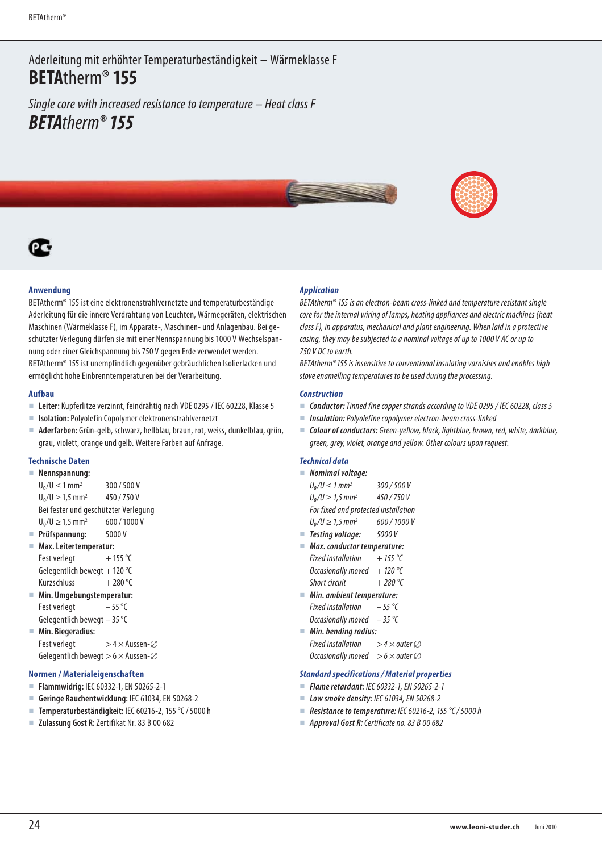Aderleitung mit erhöhter Temperaturbeständigkeit – Wärmeklasse F **BETA**therm® **155** 

Single core with increased resistance to temperature – Heat class F *BETA*therm® *155* 



## **Anwendung**

BETAtherm® 155 ist eine elektronenstrahlvernetzte und temperaturbeständige Aderleitung für die innere Verdrahtung von Leuchten, Wärmegeräten, elektrischen Maschinen (Wärmeklasse F), im Apparate-, Maschinen- und Anlagenbau. Bei geschützter Verlegung dürfen sie mit einer Nennspannung bis 1000 V Wechselspannung oder einer Gleichspannung bis 750 V gegen Erde verwendet werden. BETAtherm® 155 ist unempfindlich gegenüber gebräuchlichen Isolierlacken und ermöglicht hohe Einbrenntemperaturen bei der Verarbeitung.

#### **Aufbau**

- **Leiter:** Kupferlitze verzinnt, feindrähtig nach VDE 0295 / IEC 60228, Klasse 5
- **Isolation:** Polyolefin Copolymer elektronenstrahlvernetzt
- **Aderfarben:** Grün-gelb, schwarz, hellblau, braun, rot, weiss, dunkelblau, grün, grau, violett, orange und gelb. Weitere Farben auf Anfrage.

#### **Technische Daten**

| Nennspannung:                        |              |
|--------------------------------------|--------------|
| $U_0/U \le 1$ mm <sup>2</sup>        | 300/500V     |
| $U_0/U \ge 1.5$ mm <sup>2</sup>      | 450/750V     |
| Bei fester und geschützter Verlegung |              |
| $U_0/U \ge 1.5$ mm <sup>2</sup>      | 600 / 1000 V |
| Prüfspannung:                        | 5000V        |

- **Max. Leitertemperatur:**
- Fest verlegt  $+ 155 \degree C$ Gelegentlich bewegt + 120 $\degree$ C Kurzschluss  $+280^{\circ}$ C
- **Min. Umgebungstemperatur:** Fest verlegt  $-55^{\circ}$ C Gelegentlich bewegt – 35 °C
- **Min. Biegeradius:** Fest verlegt  $> 4 \times$  Aussen- $\varnothing$ Gelegentlich bewegt  $> 6 \times$  Aussen- $\varnothing$

#### **Normen / Materialeigenschaften**

- **Flammwidrig:** IEC 60332-1, EN 50265-2-1
- **Geringe Rauchentwicklung:** IEC 61034, EN 50268-2
- **Temperaturbeständigkeit:** IEC 60216-2, 155 °C / 5000 h
- **Zulassung Gost R:** Zertifikat Nr. 83 B 00 682

### *Application*

BETAtherm® 155 is an electron-beam cross-linked and temperature resistant single core for the internal wiring of lamps, heating appliances and electric machines (heat class F), in apparatus, mechanical and plant engineering. When laid in a protective casing, they may be subjected to a nominal voltage of up to 1000 V AC or up to 750 V DC to earth.

BETAtherm® 155 is insensitive to conventional insulating varnishes and enables high stove enamelling temperatures to be used during the processing.

#### *Construction*

- **Conductor:** Tinned fine copper strands according to VDE 0295 / IEC 60228, class 5
- *Insulation:* Polyolefine copolymer electron-beam cross-linked
- *Colour of conductors:* Green-yellow, black, lightblue, brown, red, white, darkblue, green, grey, violet, orange and yellow. Other colours upon request.

#### *Technical data*

```
 Nomimal voltage: 
   U_0/U \leq 1 mm<sup>2</sup>
                              300 / 500 V 
   U_0/U \ge 1.5 mm<sup>2</sup>
                              450 / 750 V 
   For fixed and protected installation 
   U_0/U \ge 1.5 mm<sup>2</sup>
                              600 / 1000 V
■ Testing voltage: 5000 V
```
- *Max. conductor temperature:*
- Fixed installation  $+ 155$  °C Occasionally moved  $+ 120$  °C Short circuit  $+ 280 °C$
- *Min. ambient temperature:*  Fixed installation  $-55$  °C Occasionally moved  $-35$  °C
- *Min. bending radius:*  Fixed installation  $> 4 \times$  outer  $\varnothing$ Occasionally moved  $> 6 \times$  outer  $\varnothing$

# *Standard specifications / Material properties*

- *Flame retardant:* IEC 60332-1, EN 50265-2-1
- *Low smoke density:* IEC 61034, EN 50268-2
- *Resistance to temperature:* IEC 60216-2, 155 °C / 5000 h
- *Approval Gost R:* Certificate no. 83 B 00 682